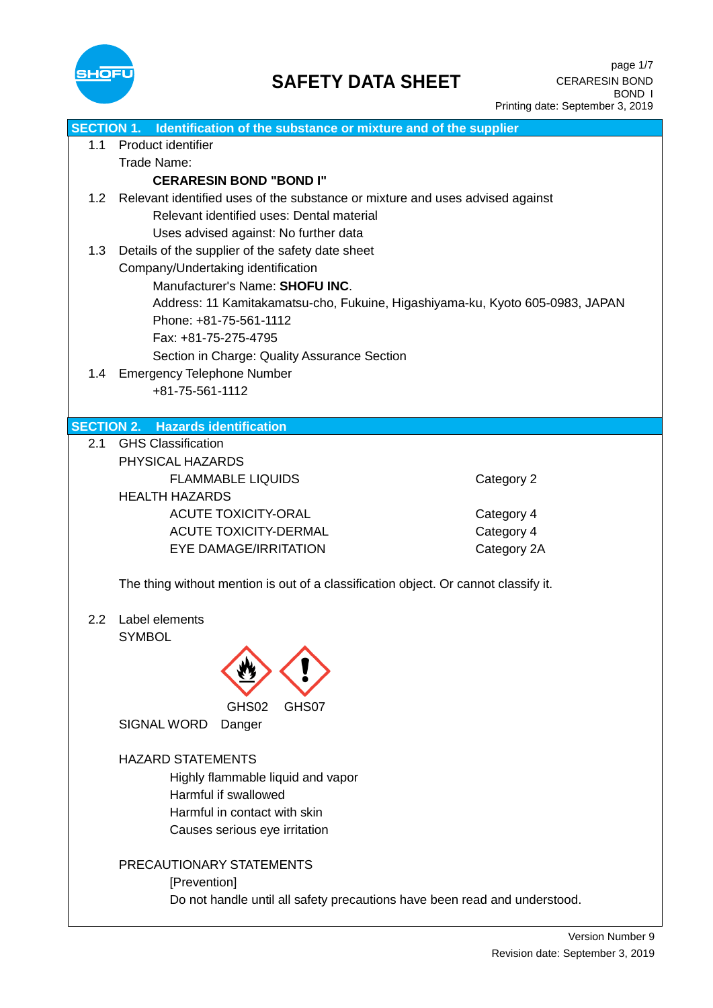

|     | <b>SECTION 1.</b> Identification of the substance or mixture and of the supplier    |             |  |
|-----|-------------------------------------------------------------------------------------|-------------|--|
| 1.1 | Product identifier                                                                  |             |  |
|     | Trade Name:                                                                         |             |  |
|     | <b>CERARESIN BOND "BOND I"</b>                                                      |             |  |
| 1.2 | Relevant identified uses of the substance or mixture and uses advised against       |             |  |
|     | Relevant identified uses: Dental material                                           |             |  |
|     | Uses advised against: No further data                                               |             |  |
| 1.3 | Details of the supplier of the safety date sheet                                    |             |  |
|     | Company/Undertaking identification                                                  |             |  |
|     | Manufacturer's Name: SHOFU INC.                                                     |             |  |
|     |                                                                                     |             |  |
|     | Address: 11 Kamitakamatsu-cho, Fukuine, Higashiyama-ku, Kyoto 605-0983, JAPAN       |             |  |
|     | Phone: +81-75-561-1112                                                              |             |  |
|     | Fax: +81-75-275-4795                                                                |             |  |
|     | Section in Charge: Quality Assurance Section                                        |             |  |
|     | 1.4 Emergency Telephone Number                                                      |             |  |
|     | +81-75-561-1112                                                                     |             |  |
|     |                                                                                     |             |  |
|     | <b>SECTION 2. Hazards identification</b>                                            |             |  |
| 2.1 | <b>GHS Classification</b>                                                           |             |  |
|     | PHYSICAL HAZARDS                                                                    |             |  |
|     | <b>FLAMMABLE LIQUIDS</b>                                                            | Category 2  |  |
|     | <b>HEALTH HAZARDS</b>                                                               |             |  |
|     | <b>ACUTE TOXICITY-ORAL</b>                                                          | Category 4  |  |
|     | <b>ACUTE TOXICITY-DERMAL</b>                                                        | Category 4  |  |
|     | <b>EYE DAMAGE/IRRITATION</b>                                                        | Category 2A |  |
|     |                                                                                     |             |  |
|     | The thing without mention is out of a classification object. Or cannot classify it. |             |  |
|     |                                                                                     |             |  |
| 2.2 | Label elements                                                                      |             |  |
|     | <b>SYMBOL</b>                                                                       |             |  |
|     |                                                                                     |             |  |
|     |                                                                                     |             |  |
|     |                                                                                     |             |  |
|     | GHS02<br>GHS07                                                                      |             |  |
|     | <b>SIGNAL WORD</b><br>Danger                                                        |             |  |
|     |                                                                                     |             |  |
|     | <b>HAZARD STATEMENTS</b>                                                            |             |  |
|     | Highly flammable liquid and vapor                                                   |             |  |
|     | Harmful if swallowed                                                                |             |  |
|     |                                                                                     |             |  |
|     | Harmful in contact with skin                                                        |             |  |
|     | Causes serious eye irritation                                                       |             |  |
|     |                                                                                     |             |  |
|     | PRECAUTIONARY STATEMENTS                                                            |             |  |
|     | [Prevention]                                                                        |             |  |
|     | Do not handle until all safety precautions have been read and understood.           |             |  |
|     |                                                                                     |             |  |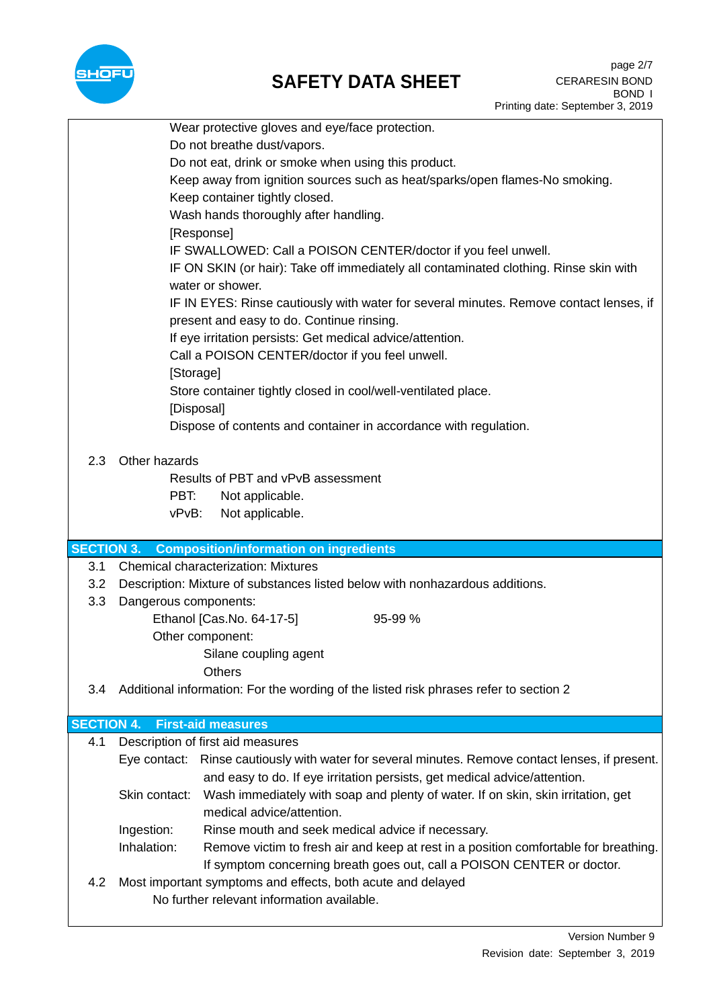

## **SAFETY DATA SHEET**

|                   |                       | Wear protective gloves and eye/face protection.                                                  |  |  |
|-------------------|-----------------------|--------------------------------------------------------------------------------------------------|--|--|
|                   |                       | Do not breathe dust/vapors.                                                                      |  |  |
|                   |                       |                                                                                                  |  |  |
|                   |                       | Do not eat, drink or smoke when using this product.                                              |  |  |
|                   |                       | Keep away from ignition sources such as heat/sparks/open flames-No smoking.                      |  |  |
|                   |                       | Keep container tightly closed.                                                                   |  |  |
|                   |                       | Wash hands thoroughly after handling.                                                            |  |  |
|                   |                       | [Response]                                                                                       |  |  |
|                   |                       | IF SWALLOWED: Call a POISON CENTER/doctor if you feel unwell.                                    |  |  |
|                   |                       | IF ON SKIN (or hair): Take off immediately all contaminated clothing. Rinse skin with            |  |  |
|                   |                       | water or shower.                                                                                 |  |  |
|                   |                       | IF IN EYES: Rinse cautiously with water for several minutes. Remove contact lenses, if           |  |  |
|                   |                       | present and easy to do. Continue rinsing.                                                        |  |  |
|                   |                       | If eye irritation persists: Get medical advice/attention.                                        |  |  |
|                   |                       | Call a POISON CENTER/doctor if you feel unwell.                                                  |  |  |
|                   | [Storage]             |                                                                                                  |  |  |
|                   |                       | Store container tightly closed in cool/well-ventilated place.                                    |  |  |
|                   |                       | [Disposal]                                                                                       |  |  |
|                   |                       | Dispose of contents and container in accordance with regulation.                                 |  |  |
|                   |                       |                                                                                                  |  |  |
| 2.3               | Other hazards         |                                                                                                  |  |  |
|                   |                       | Results of PBT and vPvB assessment                                                               |  |  |
|                   | PBT:                  | Not applicable.                                                                                  |  |  |
|                   | vPvB:                 | Not applicable.                                                                                  |  |  |
|                   |                       |                                                                                                  |  |  |
| <b>SECTION 3.</b> |                       | <b>Composition/information on ingredients</b>                                                    |  |  |
| 3.1               |                       | <b>Chemical characterization: Mixtures</b>                                                       |  |  |
| 3.2               |                       | Description: Mixture of substances listed below with nonhazardous additions.                     |  |  |
| 3.3               | Dangerous components: |                                                                                                  |  |  |
|                   |                       | Ethanol [Cas.No. 64-17-5]<br>95-99 %                                                             |  |  |
|                   |                       | Other component:                                                                                 |  |  |
|                   |                       | Silane coupling agent                                                                            |  |  |
|                   | <b>Others</b>         |                                                                                                  |  |  |
| 3.4               |                       | Additional information: For the wording of the listed risk phrases refer to section 2            |  |  |
|                   |                       |                                                                                                  |  |  |
| <b>SECTION 4.</b> |                       | <b>First-aid measures</b>                                                                        |  |  |
| 4.1               |                       | Description of first aid measures                                                                |  |  |
|                   |                       | Eye contact: Rinse cautiously with water for several minutes. Remove contact lenses, if present. |  |  |
|                   |                       | and easy to do. If eye irritation persists, get medical advice/attention.                        |  |  |
|                   | Skin contact:         | Wash immediately with soap and plenty of water. If on skin, skin irritation, get                 |  |  |
|                   |                       | medical advice/attention.                                                                        |  |  |
|                   | Ingestion:            | Rinse mouth and seek medical advice if necessary.                                                |  |  |
|                   | Inhalation:           | Remove victim to fresh air and keep at rest in a position comfortable for breathing.             |  |  |
|                   |                       | If symptom concerning breath goes out, call a POISON CENTER or doctor.                           |  |  |
| 4.2               |                       | Most important symptoms and effects, both acute and delayed                                      |  |  |
|                   |                       | No further relevant information available.                                                       |  |  |
|                   |                       |                                                                                                  |  |  |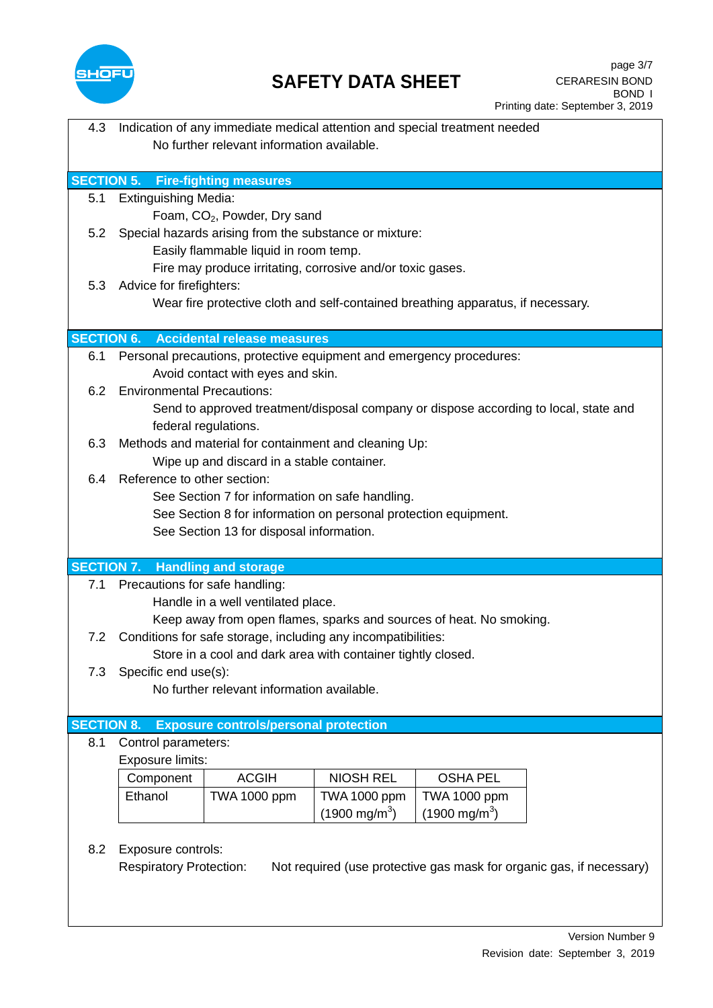

## **SAFETY DATA SHEET**

| 4.3               | Indication of any immediate medical attention and special treatment needed           |                                                                 |                         |                                                                                      |  |
|-------------------|--------------------------------------------------------------------------------------|-----------------------------------------------------------------|-------------------------|--------------------------------------------------------------------------------------|--|
|                   | No further relevant information available.                                           |                                                                 |                         |                                                                                      |  |
|                   |                                                                                      |                                                                 |                         |                                                                                      |  |
|                   | <b>SECTION 5. Fire-fighting measures</b>                                             |                                                                 |                         |                                                                                      |  |
| 5.1               | <b>Extinguishing Media:</b>                                                          |                                                                 |                         |                                                                                      |  |
|                   |                                                                                      | Foam, CO <sub>2</sub> , Powder, Dry sand                        |                         |                                                                                      |  |
|                   |                                                                                      |                                                                 |                         |                                                                                      |  |
| 5.2               | Special hazards arising from the substance or mixture:                               |                                                                 |                         |                                                                                      |  |
|                   | Easily flammable liquid in room temp.                                                |                                                                 |                         |                                                                                      |  |
|                   | Fire may produce irritating, corrosive and/or toxic gases.                           |                                                                 |                         |                                                                                      |  |
| 5.3               | Advice for firefighters:                                                             |                                                                 |                         |                                                                                      |  |
|                   |                                                                                      |                                                                 |                         | Wear fire protective cloth and self-contained breathing apparatus, if necessary.     |  |
|                   |                                                                                      |                                                                 |                         |                                                                                      |  |
| <b>SECTION 6.</b> |                                                                                      | <b>Accidental release measures</b>                              |                         |                                                                                      |  |
| 6.1               |                                                                                      |                                                                 |                         | Personal precautions, protective equipment and emergency procedures:                 |  |
|                   |                                                                                      | Avoid contact with eyes and skin.                               |                         |                                                                                      |  |
| 6.2               | <b>Environmental Precautions:</b>                                                    |                                                                 |                         |                                                                                      |  |
|                   |                                                                                      |                                                                 |                         | Send to approved treatment/disposal company or dispose according to local, state and |  |
|                   |                                                                                      | federal regulations.                                            |                         |                                                                                      |  |
|                   |                                                                                      |                                                                 |                         |                                                                                      |  |
| 6.3               |                                                                                      | Methods and material for containment and cleaning Up:           |                         |                                                                                      |  |
|                   |                                                                                      | Wipe up and discard in a stable container.                      |                         |                                                                                      |  |
| 6.4               | Reference to other section:                                                          |                                                                 |                         |                                                                                      |  |
|                   |                                                                                      | See Section 7 for information on safe handling.                 |                         |                                                                                      |  |
|                   |                                                                                      | See Section 8 for information on personal protection equipment. |                         |                                                                                      |  |
|                   |                                                                                      | See Section 13 for disposal information.                        |                         |                                                                                      |  |
|                   |                                                                                      |                                                                 |                         |                                                                                      |  |
|                   | <b>SECTION 7. Handling and storage</b>                                               |                                                                 |                         |                                                                                      |  |
| 7.1               | Precautions for safe handling:                                                       |                                                                 |                         |                                                                                      |  |
|                   |                                                                                      | Handle in a well ventilated place.                              |                         |                                                                                      |  |
|                   |                                                                                      |                                                                 |                         | Keep away from open flames, sparks and sources of heat. No smoking.                  |  |
| 7.2               |                                                                                      | Conditions for safe storage, including any incompatibilities:   |                         |                                                                                      |  |
|                   |                                                                                      |                                                                 |                         |                                                                                      |  |
| 7.3               | Store in a cool and dark area with container tightly closed.<br>Specific end use(s): |                                                                 |                         |                                                                                      |  |
|                   |                                                                                      | No further relevant information available.                      |                         |                                                                                      |  |
|                   |                                                                                      |                                                                 |                         |                                                                                      |  |
| <b>SECTION 8.</b> |                                                                                      |                                                                 |                         |                                                                                      |  |
|                   |                                                                                      | <b>Exposure controls/personal protection</b>                    |                         |                                                                                      |  |
| 8.1               | Control parameters:                                                                  |                                                                 |                         |                                                                                      |  |
|                   | Exposure limits:                                                                     |                                                                 |                         |                                                                                      |  |
|                   | Component                                                                            | <b>ACGIH</b>                                                    | <b>NIOSH REL</b>        | <b>OSHA PEL</b>                                                                      |  |
|                   | Ethanol                                                                              | <b>TWA 1000 ppm</b>                                             | <b>TWA 1000 ppm</b>     | <b>TWA 1000 ppm</b>                                                                  |  |
|                   |                                                                                      |                                                                 | $(1900 \text{ mg/m}^3)$ | $(1900 \text{ mg/m}^3)$                                                              |  |
|                   |                                                                                      |                                                                 |                         |                                                                                      |  |
| 8.2               | Exposure controls:                                                                   |                                                                 |                         |                                                                                      |  |
|                   | <b>Respiratory Protection:</b>                                                       |                                                                 |                         | Not required (use protective gas mask for organic gas, if necessary)                 |  |
|                   |                                                                                      |                                                                 |                         |                                                                                      |  |
|                   |                                                                                      |                                                                 |                         |                                                                                      |  |
|                   |                                                                                      |                                                                 |                         |                                                                                      |  |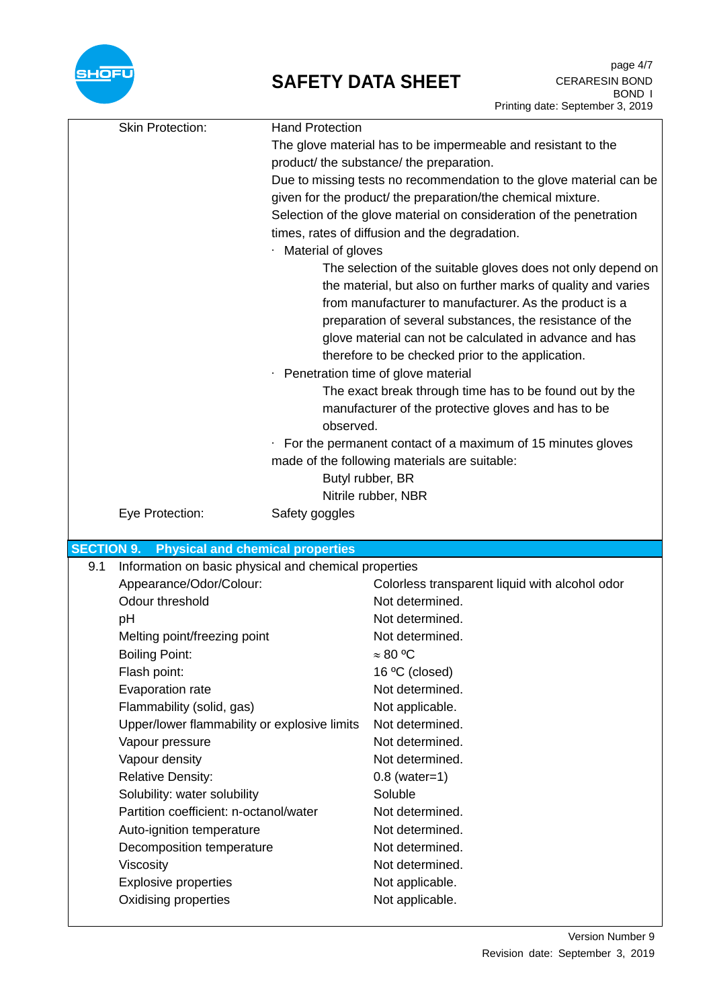

## **SAFETY DATA SHEET**

|                   | <b>Skin Protection:</b>                               | <b>Hand Protection</b> |                                                                                                                                                                                                                                                                                                                                                                                                                                                                                                                                                                                                                                                                         |
|-------------------|-------------------------------------------------------|------------------------|-------------------------------------------------------------------------------------------------------------------------------------------------------------------------------------------------------------------------------------------------------------------------------------------------------------------------------------------------------------------------------------------------------------------------------------------------------------------------------------------------------------------------------------------------------------------------------------------------------------------------------------------------------------------------|
|                   |                                                       |                        | The glove material has to be impermeable and resistant to the                                                                                                                                                                                                                                                                                                                                                                                                                                                                                                                                                                                                           |
|                   |                                                       |                        | product/ the substance/ the preparation.                                                                                                                                                                                                                                                                                                                                                                                                                                                                                                                                                                                                                                |
|                   |                                                       |                        | Due to missing tests no recommendation to the glove material can be                                                                                                                                                                                                                                                                                                                                                                                                                                                                                                                                                                                                     |
|                   |                                                       |                        | given for the product/ the preparation/the chemical mixture.                                                                                                                                                                                                                                                                                                                                                                                                                                                                                                                                                                                                            |
|                   |                                                       |                        | Selection of the glove material on consideration of the penetration                                                                                                                                                                                                                                                                                                                                                                                                                                                                                                                                                                                                     |
|                   |                                                       |                        | times, rates of diffusion and the degradation.                                                                                                                                                                                                                                                                                                                                                                                                                                                                                                                                                                                                                          |
|                   |                                                       | Material of gloves     |                                                                                                                                                                                                                                                                                                                                                                                                                                                                                                                                                                                                                                                                         |
|                   |                                                       | observed.              | The selection of the suitable gloves does not only depend on<br>the material, but also on further marks of quality and varies<br>from manufacturer to manufacturer. As the product is a<br>preparation of several substances, the resistance of the<br>glove material can not be calculated in advance and has<br>therefore to be checked prior to the application.<br>Penetration time of glove material<br>The exact break through time has to be found out by the<br>manufacturer of the protective gloves and has to be<br>$\cdot$ For the permanent contact of a maximum of 15 minutes gloves<br>made of the following materials are suitable:<br>Butyl rubber, BR |
|                   |                                                       |                        |                                                                                                                                                                                                                                                                                                                                                                                                                                                                                                                                                                                                                                                                         |
|                   |                                                       |                        | Nitrile rubber, NBR                                                                                                                                                                                                                                                                                                                                                                                                                                                                                                                                                                                                                                                     |
|                   | Eye Protection:                                       | Safety goggles         |                                                                                                                                                                                                                                                                                                                                                                                                                                                                                                                                                                                                                                                                         |
| <b>SECTION 9.</b> | <b>Physical and chemical properties</b>               |                        |                                                                                                                                                                                                                                                                                                                                                                                                                                                                                                                                                                                                                                                                         |
| 9.1               | Information on basic physical and chemical properties |                        |                                                                                                                                                                                                                                                                                                                                                                                                                                                                                                                                                                                                                                                                         |
|                   |                                                       |                        |                                                                                                                                                                                                                                                                                                                                                                                                                                                                                                                                                                                                                                                                         |
|                   |                                                       |                        |                                                                                                                                                                                                                                                                                                                                                                                                                                                                                                                                                                                                                                                                         |
|                   | Appearance/Odor/Colour:<br>Odour threshold            |                        | Colorless transparent liquid with alcohol odor<br>Not determined.                                                                                                                                                                                                                                                                                                                                                                                                                                                                                                                                                                                                       |
|                   |                                                       |                        | Not determined.                                                                                                                                                                                                                                                                                                                                                                                                                                                                                                                                                                                                                                                         |
|                   | pH                                                    |                        | Not determined.                                                                                                                                                                                                                                                                                                                                                                                                                                                                                                                                                                                                                                                         |
|                   | Melting point/freezing point                          |                        |                                                                                                                                                                                                                                                                                                                                                                                                                                                                                                                                                                                                                                                                         |
|                   | <b>Boiling Point:</b><br>Flash point:                 |                        | $\approx 80 °C$<br>16 °C (closed)                                                                                                                                                                                                                                                                                                                                                                                                                                                                                                                                                                                                                                       |
|                   | Evaporation rate                                      |                        | Not determined.                                                                                                                                                                                                                                                                                                                                                                                                                                                                                                                                                                                                                                                         |
|                   | Flammability (solid, gas)                             |                        | Not applicable.                                                                                                                                                                                                                                                                                                                                                                                                                                                                                                                                                                                                                                                         |
|                   | Upper/lower flammability or explosive limits          |                        | Not determined.                                                                                                                                                                                                                                                                                                                                                                                                                                                                                                                                                                                                                                                         |
|                   | Vapour pressure                                       |                        | Not determined.                                                                                                                                                                                                                                                                                                                                                                                                                                                                                                                                                                                                                                                         |
|                   | Vapour density                                        |                        | Not determined.                                                                                                                                                                                                                                                                                                                                                                                                                                                                                                                                                                                                                                                         |
|                   | <b>Relative Density:</b>                              |                        | $0.8$ (water=1)                                                                                                                                                                                                                                                                                                                                                                                                                                                                                                                                                                                                                                                         |
|                   | Solubility: water solubility                          |                        | Soluble                                                                                                                                                                                                                                                                                                                                                                                                                                                                                                                                                                                                                                                                 |
|                   | Partition coefficient: n-octanol/water                |                        | Not determined.                                                                                                                                                                                                                                                                                                                                                                                                                                                                                                                                                                                                                                                         |
|                   | Auto-ignition temperature                             |                        | Not determined.                                                                                                                                                                                                                                                                                                                                                                                                                                                                                                                                                                                                                                                         |
|                   | Decomposition temperature                             |                        | Not determined.                                                                                                                                                                                                                                                                                                                                                                                                                                                                                                                                                                                                                                                         |
|                   | Viscosity                                             |                        | Not determined.                                                                                                                                                                                                                                                                                                                                                                                                                                                                                                                                                                                                                                                         |
|                   | <b>Explosive properties</b>                           |                        | Not applicable.                                                                                                                                                                                                                                                                                                                                                                                                                                                                                                                                                                                                                                                         |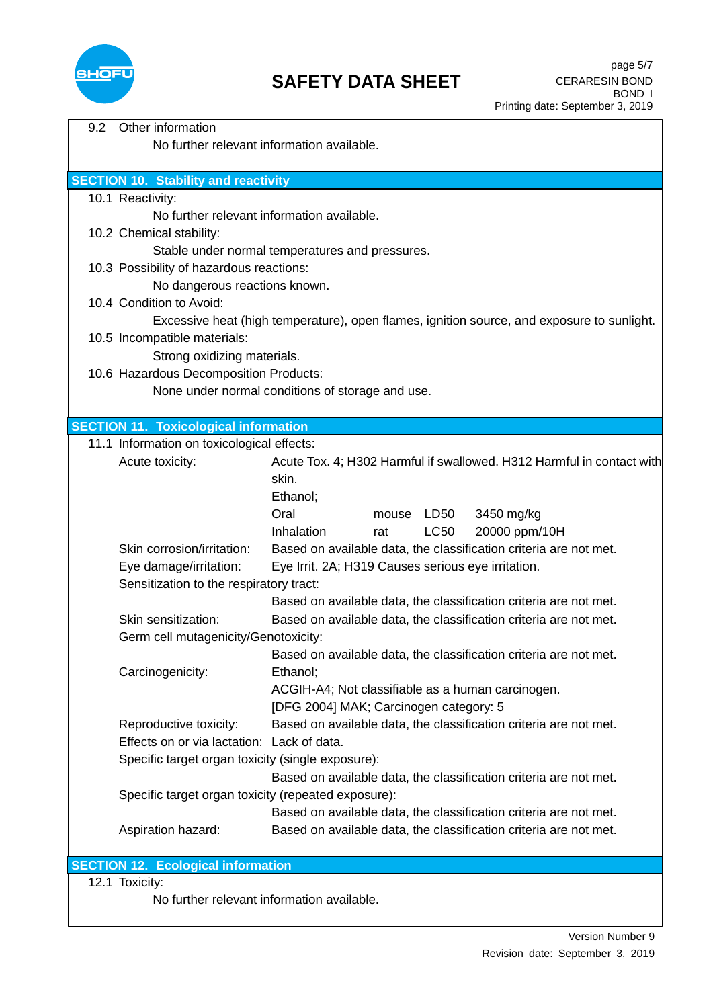

| 9.2 | Other information                                                                          |                                                                       |  |
|-----|--------------------------------------------------------------------------------------------|-----------------------------------------------------------------------|--|
|     | No further relevant information available.                                                 |                                                                       |  |
|     |                                                                                            |                                                                       |  |
|     | <b>SECTION 10. Stability and reactivity</b>                                                |                                                                       |  |
|     | 10.1 Reactivity:                                                                           |                                                                       |  |
|     | No further relevant information available.                                                 |                                                                       |  |
|     | 10.2 Chemical stability:                                                                   |                                                                       |  |
|     |                                                                                            | Stable under normal temperatures and pressures.                       |  |
|     | 10.3 Possibility of hazardous reactions:                                                   |                                                                       |  |
|     | No dangerous reactions known.                                                              |                                                                       |  |
|     | 10.4 Condition to Avoid:                                                                   |                                                                       |  |
|     | Excessive heat (high temperature), open flames, ignition source, and exposure to sunlight. |                                                                       |  |
|     | 10.5 Incompatible materials:                                                               |                                                                       |  |
|     | Strong oxidizing materials.                                                                |                                                                       |  |
|     | 10.6 Hazardous Decomposition Products:                                                     |                                                                       |  |
|     |                                                                                            | None under normal conditions of storage and use.                      |  |
|     |                                                                                            |                                                                       |  |
|     | <b>SECTION 11. Toxicological information</b>                                               |                                                                       |  |
|     | 11.1 Information on toxicological effects:                                                 |                                                                       |  |
|     | Acute toxicity:                                                                            | Acute Tox. 4; H302 Harmful if swallowed. H312 Harmful in contact with |  |
|     |                                                                                            | skin.                                                                 |  |
|     |                                                                                            | Ethanol;                                                              |  |
|     |                                                                                            | Oral<br>LD50<br>3450 mg/kg<br>mouse                                   |  |
|     |                                                                                            | <b>LC50</b><br>20000 ppm/10H<br>Inhalation<br>rat                     |  |
|     | Skin corrosion/irritation:                                                                 | Based on available data, the classification criteria are not met.     |  |
|     | Eye damage/irritation:                                                                     | Eye Irrit. 2A; H319 Causes serious eye irritation.                    |  |
|     | Sensitization to the respiratory tract:                                                    |                                                                       |  |
|     |                                                                                            | Based on available data, the classification criteria are not met.     |  |
|     | Skin sensitization:                                                                        | Based on available data, the classification criteria are not met.     |  |
|     | Germ cell mutagenicity/Genotoxicity:                                                       |                                                                       |  |
|     |                                                                                            | Based on available data, the classification criteria are not met.     |  |
|     | Carcinogenicity:                                                                           | Ethanol;                                                              |  |
|     |                                                                                            | ACGIH-A4; Not classifiable as a human carcinogen.                     |  |
|     |                                                                                            | [DFG 2004] MAK; Carcinogen category: 5                                |  |
|     | Reproductive toxicity:                                                                     | Based on available data, the classification criteria are not met.     |  |
|     | Effects on or via lactation: Lack of data.                                                 |                                                                       |  |
|     | Specific target organ toxicity (single exposure):                                          |                                                                       |  |
|     |                                                                                            | Based on available data, the classification criteria are not met.     |  |
|     | Specific target organ toxicity (repeated exposure):                                        |                                                                       |  |
|     |                                                                                            | Based on available data, the classification criteria are not met.     |  |
|     | Aspiration hazard:                                                                         | Based on available data, the classification criteria are not met.     |  |
|     |                                                                                            |                                                                       |  |
|     | <b>SECTION 12. Ecological information</b><br>$4.2.4$ Taviaitu                              |                                                                       |  |

12.1 Toxicity:

No further relevant information available.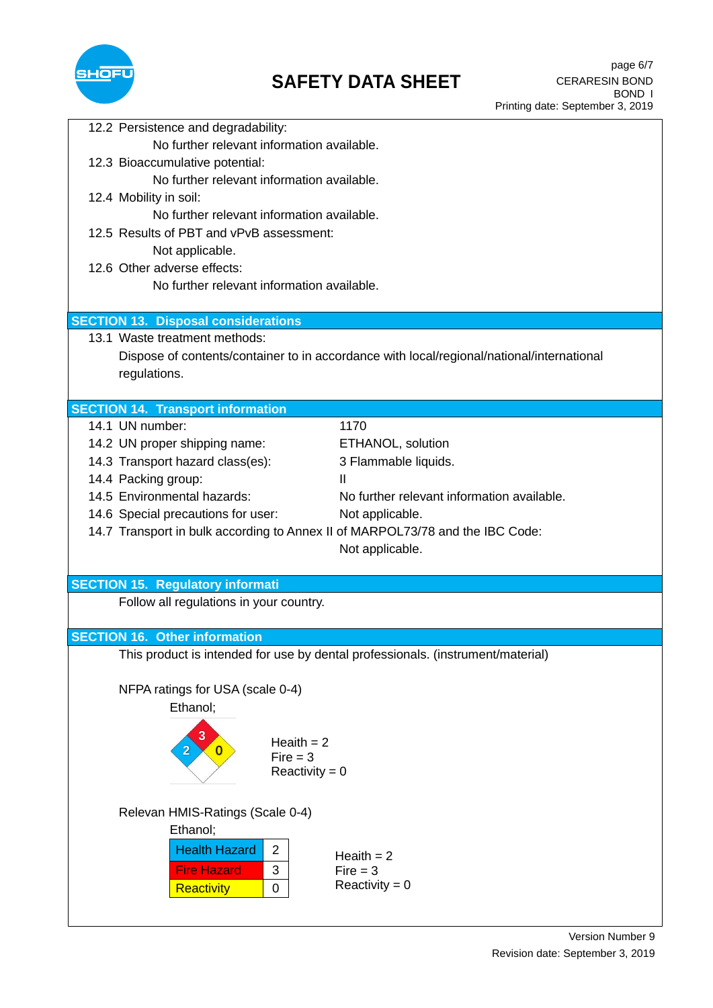

| 12.2 Persistence and degradability:                                                                       |  |  |
|-----------------------------------------------------------------------------------------------------------|--|--|
| No further relevant information available.                                                                |  |  |
| 12.3 Bioaccumulative potential:                                                                           |  |  |
| No further relevant information available.                                                                |  |  |
| 12.4 Mobility in soil:                                                                                    |  |  |
| No further relevant information available.                                                                |  |  |
| 12.5 Results of PBT and vPvB assessment:                                                                  |  |  |
| Not applicable.                                                                                           |  |  |
| 12.6 Other adverse effects:                                                                               |  |  |
| No further relevant information available.                                                                |  |  |
|                                                                                                           |  |  |
| <b>SECTION 13. Disposal considerations</b>                                                                |  |  |
| 13.1 Waste treatment methods:                                                                             |  |  |
| Dispose of contents/container to in accordance with local/regional/national/international<br>regulations. |  |  |
|                                                                                                           |  |  |
| <b>SECTION 14. Transport information</b>                                                                  |  |  |
| 14.1 UN number:<br>1170                                                                                   |  |  |
| 14.2 UN proper shipping name:<br>ETHANOL, solution                                                        |  |  |
| 14.3 Transport hazard class(es):<br>3 Flammable liquids.                                                  |  |  |
| 14.4 Packing group:<br>Ш                                                                                  |  |  |
| 14.5 Environmental hazards:<br>No further relevant information available.                                 |  |  |
| 14.6 Special precautions for user:<br>Not applicable.                                                     |  |  |
| 14.7 Transport in bulk according to Annex II of MARPOL73/78 and the IBC Code:                             |  |  |
| Not applicable.                                                                                           |  |  |
|                                                                                                           |  |  |
| <b>SECTION 15. Regulatory informati</b>                                                                   |  |  |
| Follow all regulations in your country.                                                                   |  |  |
|                                                                                                           |  |  |
| <b>SECTION 16. Other information</b>                                                                      |  |  |
| This product is intended for use by dental professionals. (instrument/material)                           |  |  |
|                                                                                                           |  |  |
| NFPA ratings for USA (scale 0-4)                                                                          |  |  |
| Ethanol:                                                                                                  |  |  |
| 3                                                                                                         |  |  |
| Heaith $= 2$<br>$\overline{2}$<br>$\mathbf{0}$<br>$Fire = 3$                                              |  |  |
| Reactivity = $0$                                                                                          |  |  |
|                                                                                                           |  |  |
|                                                                                                           |  |  |
| Relevan HMIS-Ratings (Scale 0-4)<br>Ethanol;                                                              |  |  |
|                                                                                                           |  |  |
| <b>Health Hazard</b><br>$\overline{c}$<br>Heaith $= 2$                                                    |  |  |
| 3<br><b>Fire Hazard</b><br>$Fire = 3$                                                                     |  |  |
| Reactivity = $0$<br><b>Reactivity</b><br>$\pmb{0}$                                                        |  |  |
|                                                                                                           |  |  |
|                                                                                                           |  |  |